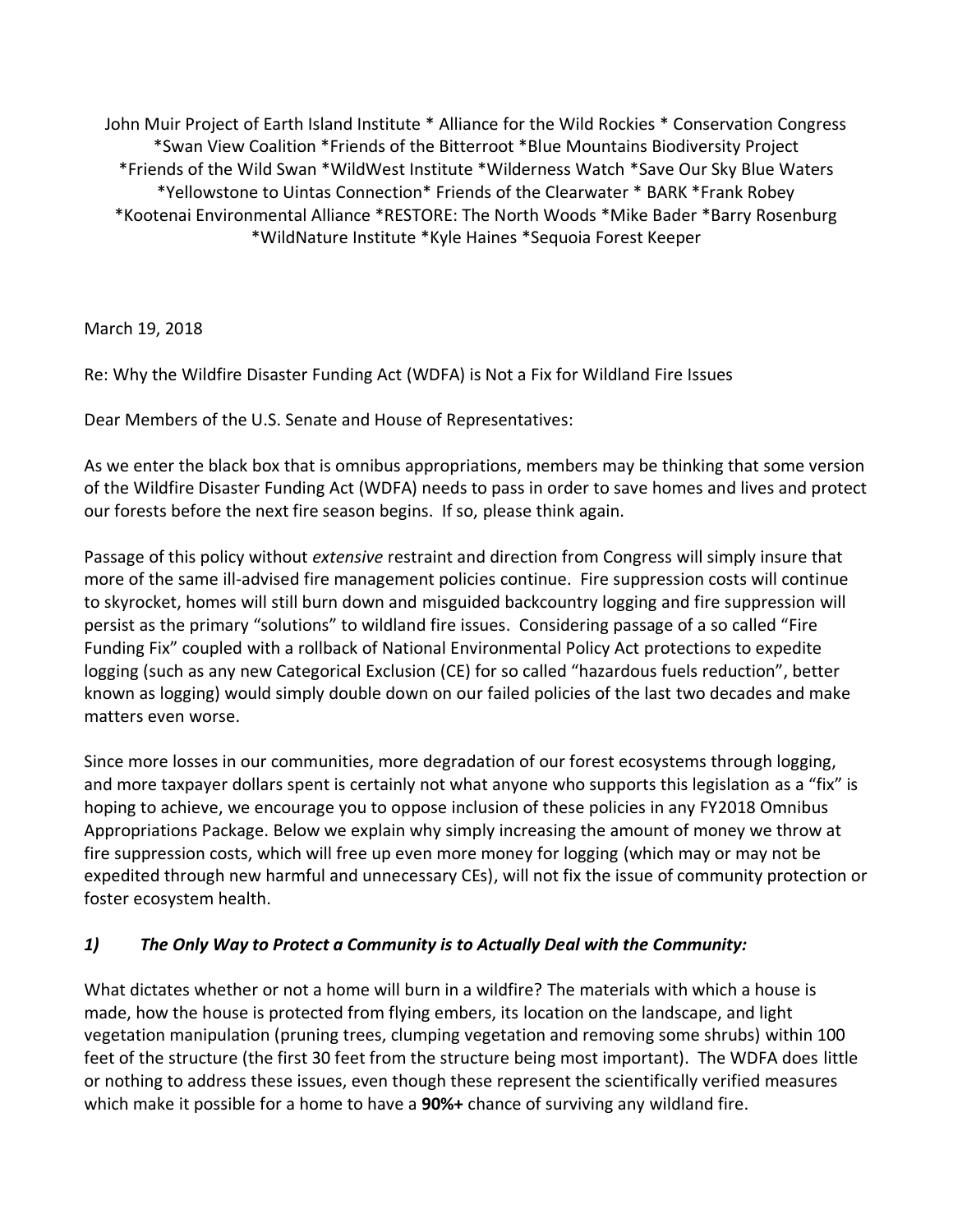John Muir Project of Earth Island Institute \* Alliance for the Wild Rockies \* Conservation Congress \*Swan View Coalition \*Friends of the Bitterroot \*Blue Mountains Biodiversity Project \*Friends of the Wild Swan \*WildWest Institute \*Wilderness Watch \*Save Our Sky Blue Waters \*Yellowstone to Uintas Connection\* Friends of the Clearwater \* BARK \*Frank Robey \*Kootenai Environmental Alliance \*RESTORE: The North Woods \*Mike Bader \*Barry Rosenburg \*WildNature Institute \*Kyle Haines \*Sequoia Forest Keeper

March 19, 2018

Re: Why the Wildfire Disaster Funding Act (WDFA) is Not a Fix for Wildland Fire Issues

Dear Members of the U.S. Senate and House of Representatives:

As we enter the black box that is omnibus appropriations, members may be thinking that some version of the Wildfire Disaster Funding Act (WDFA) needs to pass in order to save homes and lives and protect our forests before the next fire season begins. If so, please think again.

Passage of this policy without *extensive* restraint and direction from Congress will simply insure that more of the same ill-advised fire management policies continue. Fire suppression costs will continue to skyrocket, homes will still burn down and misguided backcountry logging and fire suppression will persist as the primary "solutions" to wildland fire issues. Considering passage of a so called "Fire Funding Fix" coupled with a rollback of National Environmental Policy Act protections to expedite logging (such as any new Categorical Exclusion (CE) for so called "hazardous fuels reduction", better known as logging) would simply double down on our failed policies of the last two decades and make matters even worse.

Since more losses in our communities, more degradation of our forest ecosystems through logging, and more taxpayer dollars spent is certainly not what anyone who supports this legislation as a "fix" is hoping to achieve, we encourage you to oppose inclusion of these policies in any FY2018 Omnibus Appropriations Package. Below we explain why simply increasing the amount of money we throw at fire suppression costs, which will free up even more money for logging (which may or may not be expedited through new harmful and unnecessary CEs), will not fix the issue of community protection or foster ecosystem health.

## *1) The Only Way to Protect a Community is to Actually Deal with the Community:*

What dictates whether or not a home will burn in a wildfire? The materials with which a house is made, how the house is protected from flying embers, its location on the landscape, and light vegetation manipulation (pruning trees, clumping vegetation and removing some shrubs) within 100 feet of the structure (the first 30 feet from the structure being most important). The WDFA does little or nothing to address these issues, even though these represent the scientifically verified measures which make it possible for a home to have a **90%+** chance of surviving any wildland fire.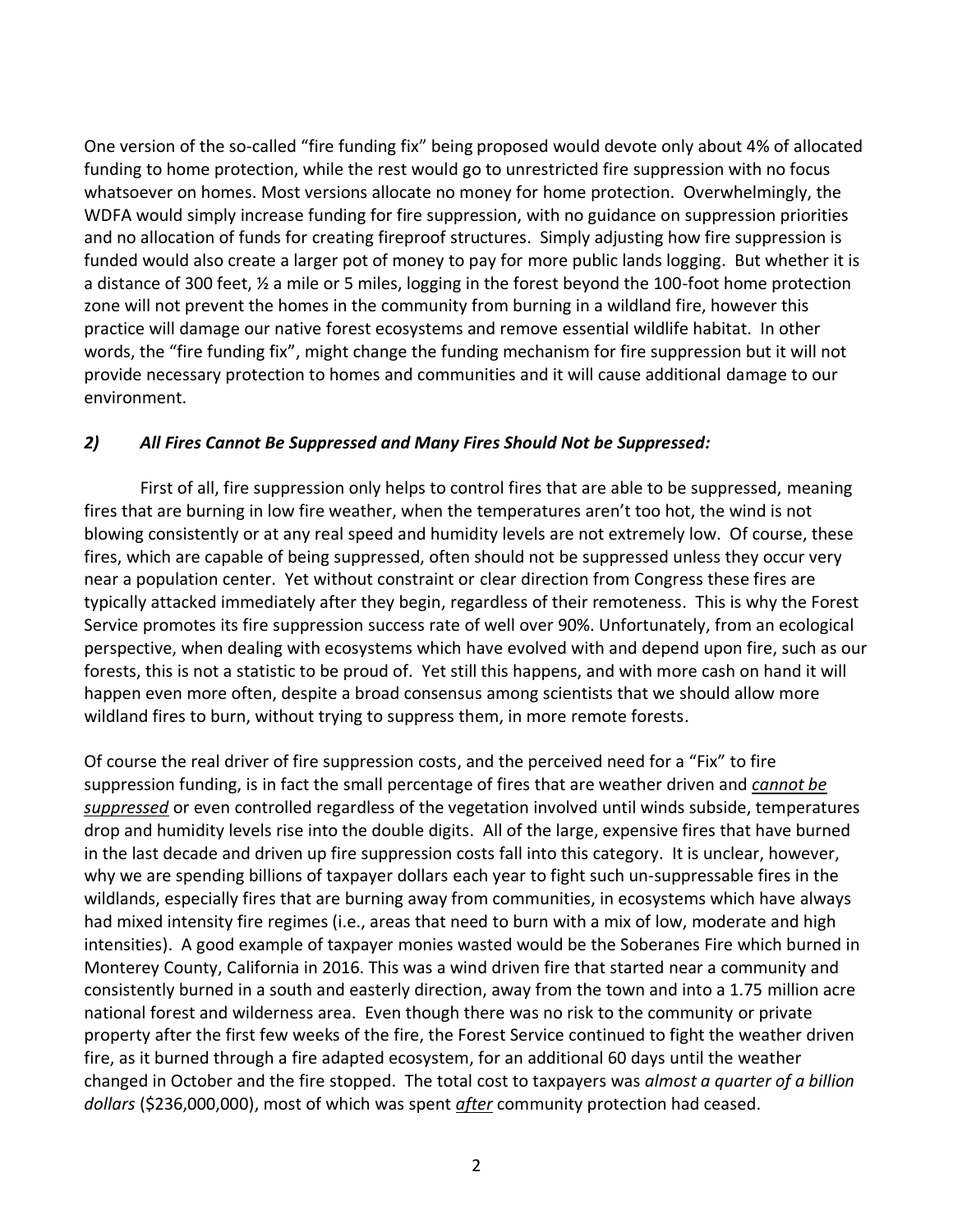One version of the so-called "fire funding fix" being proposed would devote only about 4% of allocated funding to home protection, while the rest would go to unrestricted fire suppression with no focus whatsoever on homes. Most versions allocate no money for home protection. Overwhelmingly, the WDFA would simply increase funding for fire suppression, with no guidance on suppression priorities and no allocation of funds for creating fireproof structures. Simply adjusting how fire suppression is funded would also create a larger pot of money to pay for more public lands logging. But whether it is a distance of 300 feet, ½ a mile or 5 miles, logging in the forest beyond the 100-foot home protection zone will not prevent the homes in the community from burning in a wildland fire, however this practice will damage our native forest ecosystems and remove essential wildlife habitat. In other words, the "fire funding fix", might change the funding mechanism for fire suppression but it will not provide necessary protection to homes and communities and it will cause additional damage to our environment.

### *2) All Fires Cannot Be Suppressed and Many Fires Should Not be Suppressed:*

First of all, fire suppression only helps to control fires that are able to be suppressed, meaning fires that are burning in low fire weather, when the temperatures aren't too hot, the wind is not blowing consistently or at any real speed and humidity levels are not extremely low. Of course, these fires, which are capable of being suppressed, often should not be suppressed unless they occur very near a population center. Yet without constraint or clear direction from Congress these fires are typically attacked immediately after they begin, regardless of their remoteness. This is why the Forest Service promotes its fire suppression success rate of well over 90%. Unfortunately, from an ecological perspective, when dealing with ecosystems which have evolved with and depend upon fire, such as our forests, this is not a statistic to be proud of. Yet still this happens, and with more cash on hand it will happen even more often, despite a broad consensus among scientists that we should allow more wildland fires to burn, without trying to suppress them, in more remote forests.

Of course the real driver of fire suppression costs, and the perceived need for a "Fix" to fire suppression funding, is in fact the small percentage of fires that are weather driven and *cannot be suppressed* or even controlled regardless of the vegetation involved until winds subside, temperatures drop and humidity levels rise into the double digits. All of the large, expensive fires that have burned in the last decade and driven up fire suppression costs fall into this category. It is unclear, however, why we are spending billions of taxpayer dollars each year to fight such un-suppressable fires in the wildlands, especially fires that are burning away from communities, in ecosystems which have always had mixed intensity fire regimes (i.e., areas that need to burn with a mix of low, moderate and high intensities). A good example of taxpayer monies wasted would be the Soberanes Fire which burned in Monterey County, California in 2016. This was a wind driven fire that started near a community and consistently burned in a south and easterly direction, away from the town and into a 1.75 million acre national forest and wilderness area. Even though there was no risk to the community or private property after the first few weeks of the fire, the Forest Service continued to fight the weather driven fire, as it burned through a fire adapted ecosystem, for an additional 60 days until the weather changed in October and the fire stopped. The total cost to taxpayers was *almost a quarter of a billion dollars* (\$236,000,000), most of which was spent *after* community protection had ceased.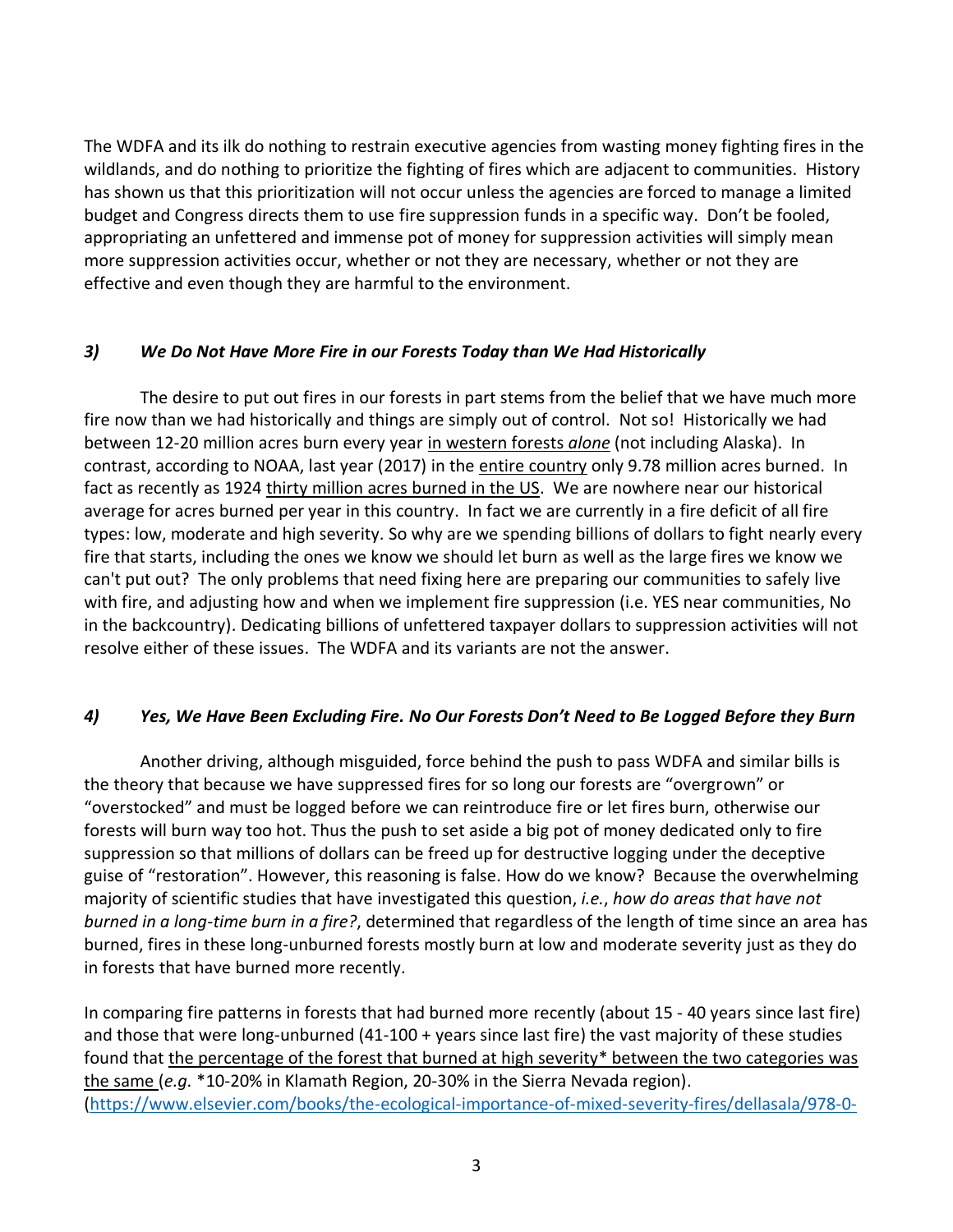The WDFA and its ilk do nothing to restrain executive agencies from wasting money fighting fires in the wildlands, and do nothing to prioritize the fighting of fires which are adjacent to communities. History has shown us that this prioritization will not occur unless the agencies are forced to manage a limited budget and Congress directs them to use fire suppression funds in a specific way. Don't be fooled, appropriating an unfettered and immense pot of money for suppression activities will simply mean more suppression activities occur, whether or not they are necessary, whether or not they are effective and even though they are harmful to the environment.

### *3) We Do Not Have More Fire in our Forests Today than We Had Historically*

The desire to put out fires in our forests in part stems from the belief that we have much more fire now than we had historically and things are simply out of control. Not so! Historically we had between 12-20 million acres burn every year in western forests *alone* (not including Alaska). In contrast, according to NOAA, last year (2017) in the entire country only 9.78 million acres burned. In fact as recently as 1924 thirty million acres burned in the US. We are nowhere near our historical average for acres burned per year in this country. In fact we are currently in a fire deficit of all fire types: low, moderate and high severity. So why are we spending billions of dollars to fight nearly every fire that starts, including the ones we know we should let burn as well as the large fires we know we can't put out? The only problems that need fixing here are preparing our communities to safely live with fire, and adjusting how and when we implement fire suppression (i.e. YES near communities, No in the backcountry). Dedicating billions of unfettered taxpayer dollars to suppression activities will not resolve either of these issues. The WDFA and its variants are not the answer.

## *4) Yes, We Have Been Excluding Fire. No Our Forests Don't Need to Be Logged Before they Burn*

Another driving, although misguided, force behind the push to pass WDFA and similar bills is the theory that because we have suppressed fires for so long our forests are "overgrown" or "overstocked" and must be logged before we can reintroduce fire or let fires burn, otherwise our forests will burn way too hot. Thus the push to set aside a big pot of money dedicated only to fire suppression so that millions of dollars can be freed up for destructive logging under the deceptive guise of "restoration". However, this reasoning is false. How do we know? Because the overwhelming majority of scientific studies that have investigated this question, *i.e.*, *how do areas that have not burned in a long-time burn in a fire?*, determined that regardless of the length of time since an area has burned, fires in these long-unburned forests mostly burn at low and moderate severity just as they do in forests that have burned more recently.

In comparing fire patterns in forests that had burned more recently (about 15 - 40 years since last fire) and those that were long-unburned (41-100 + years since last fire) the vast majority of these studies found that the percentage of the forest that burned at high severity\* between the two categories was the same (*e.g.* \*10-20% in Klamath Region, 20-30% in the Sierra Nevada region). [\(https://www.elsevier.com/books/the-ecological-importance-of-mixed-severity-fires/dellasala/978-0-](https://www.elsevier.com/books/the-ecological-importance-of-mixed-severity-fires/dellasala/978-0-12-802749-3))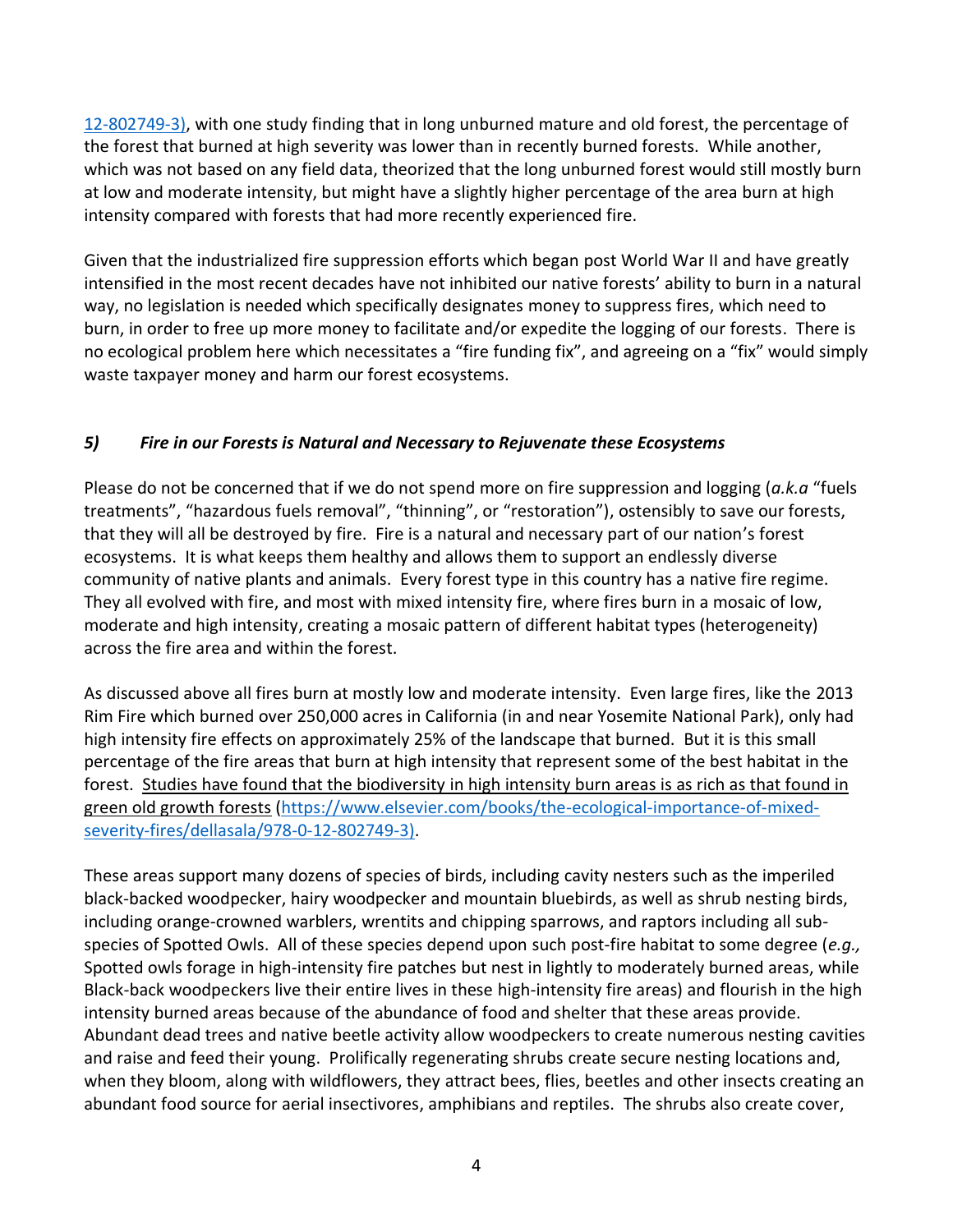[12-802749-3\),](https://www.elsevier.com/books/the-ecological-importance-of-mixed-severity-fires/dellasala/978-0-12-802749-3)) with one study finding that in long unburned mature and old forest, the percentage of the forest that burned at high severity was lower than in recently burned forests. While another, which was not based on any field data, theorized that the long unburned forest would still mostly burn at low and moderate intensity, but might have a slightly higher percentage of the area burn at high intensity compared with forests that had more recently experienced fire.

Given that the industrialized fire suppression efforts which began post World War II and have greatly intensified in the most recent decades have not inhibited our native forests' ability to burn in a natural way, no legislation is needed which specifically designates money to suppress fires, which need to burn, in order to free up more money to facilitate and/or expedite the logging of our forests. There is no ecological problem here which necessitates a "fire funding fix", and agreeing on a "fix" would simply waste taxpayer money and harm our forest ecosystems.

# *5) Fire in our Forests is Natural and Necessary to Rejuvenate these Ecosystems*

Please do not be concerned that if we do not spend more on fire suppression and logging (*a.k.a* "fuels treatments", "hazardous fuels removal", "thinning", or "restoration"), ostensibly to save our forests, that they will all be destroyed by fire. Fire is a natural and necessary part of our nation's forest ecosystems. It is what keeps them healthy and allows them to support an endlessly diverse community of native plants and animals. Every forest type in this country has a native fire regime. They all evolved with fire, and most with mixed intensity fire, where fires burn in a mosaic of low, moderate and high intensity, creating a mosaic pattern of different habitat types (heterogeneity) across the fire area and within the forest.

As discussed above all fires burn at mostly low and moderate intensity. Even large fires, like the 2013 Rim Fire which burned over 250,000 acres in California (in and near Yosemite National Park), only had high intensity fire effects on approximately 25% of the landscape that burned. But it is this small percentage of the fire areas that burn at high intensity that represent some of the best habitat in the forest. Studies have found that the biodiversity in high intensity burn areas is as rich as that found in green old growth forests [\(https://www.elsevier.com/books/the-ecological-importance-of-mixed](https://www.elsevier.com/books/the-ecological-importance-of-mixed-severity-fires/dellasala/978-0-12-802749-3))[severity-fires/dellasala/978-0-12-802749-3\).](https://www.elsevier.com/books/the-ecological-importance-of-mixed-severity-fires/dellasala/978-0-12-802749-3))

These areas support many dozens of species of birds, including cavity nesters such as the imperiled black-backed woodpecker, hairy woodpecker and mountain bluebirds, as well as shrub nesting birds, including orange-crowned warblers, wrentits and chipping sparrows, and raptors including all subspecies of Spotted Owls. All of these species depend upon such post-fire habitat to some degree (*e.g.,* Spotted owls forage in high-intensity fire patches but nest in lightly to moderately burned areas, while Black-back woodpeckers live their entire lives in these high-intensity fire areas) and flourish in the high intensity burned areas because of the abundance of food and shelter that these areas provide. Abundant dead trees and native beetle activity allow woodpeckers to create numerous nesting cavities and raise and feed their young. Prolifically regenerating shrubs create secure nesting locations and, when they bloom, along with wildflowers, they attract bees, flies, beetles and other insects creating an abundant food source for aerial insectivores, amphibians and reptiles. The shrubs also create cover,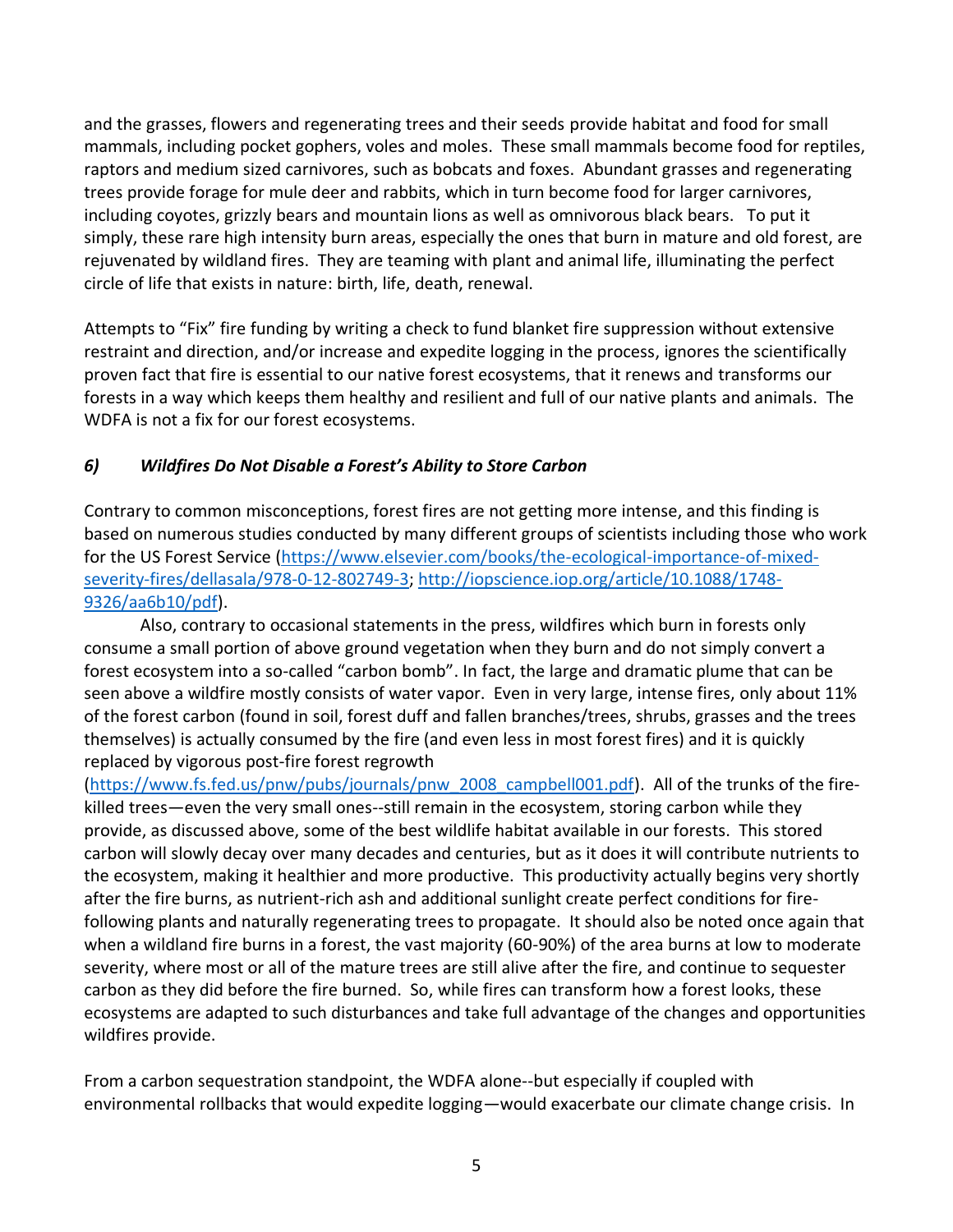and the grasses, flowers and regenerating trees and their seeds provide habitat and food for small mammals, including pocket gophers, voles and moles. These small mammals become food for reptiles, raptors and medium sized carnivores, such as bobcats and foxes. Abundant grasses and regenerating trees provide forage for mule deer and rabbits, which in turn become food for larger carnivores, including coyotes, grizzly bears and mountain lions as well as omnivorous black bears. To put it simply, these rare high intensity burn areas, especially the ones that burn in mature and old forest, are rejuvenated by wildland fires. They are teaming with plant and animal life, illuminating the perfect circle of life that exists in nature: birth, life, death, renewal.

Attempts to "Fix" fire funding by writing a check to fund blanket fire suppression without extensive restraint and direction, and/or increase and expedite logging in the process, ignores the scientifically proven fact that fire is essential to our native forest ecosystems, that it renews and transforms our forests in a way which keeps them healthy and resilient and full of our native plants and animals. The WDFA is not a fix for our forest ecosystems.

# *6) Wildfires Do Not Disable a Forest's Ability to Store Carbon*

Contrary to common misconceptions, forest fires are not getting more intense, and this finding is based on numerous studies conducted by many different groups of scientists including those who work for the US Forest Service [\(https://www.elsevier.com/books/the-ecological-importance-of-mixed](https://www.elsevier.com/books/the-ecological-importance-of-mixed-severity-fires/dellasala/978-0-12-802749-3)[severity-fires/dellasala/978-0-12-802749-3;](https://www.elsevier.com/books/the-ecological-importance-of-mixed-severity-fires/dellasala/978-0-12-802749-3) [http://iopscience.iop.org/article/10.1088/1748-](http://iopscience.iop.org/article/10.1088/1748-9326/aa6b10/pdf) [9326/aa6b10/pdf\)](http://iopscience.iop.org/article/10.1088/1748-9326/aa6b10/pdf).

Also, contrary to occasional statements in the press, wildfires which burn in forests only consume a small portion of above ground vegetation when they burn and do not simply convert a forest ecosystem into a so-called "carbon bomb". In fact, the large and dramatic plume that can be seen above a wildfire mostly consists of water vapor. Even in very large, intense fires, only about 11% of the forest carbon (found in soil, forest duff and fallen branches/trees, shrubs, grasses and the trees themselves) is actually consumed by the fire (and even less in most forest fires) and it is quickly replaced by vigorous post-fire forest regrowth

[\(https://www.fs.fed.us/pnw/pubs/journals/pnw\\_2008\\_campbell001.pdf\)](https://www.fs.fed.us/pnw/pubs/journals/pnw_2008_campbell001.pdf). All of the trunks of the firekilled trees—even the very small ones--still remain in the ecosystem, storing carbon while they provide, as discussed above, some of the best wildlife habitat available in our forests. This stored carbon will slowly decay over many decades and centuries, but as it does it will contribute nutrients to the ecosystem, making it healthier and more productive. This productivity actually begins very shortly after the fire burns, as nutrient-rich ash and additional sunlight create perfect conditions for firefollowing plants and naturally regenerating trees to propagate. It should also be noted once again that when a wildland fire burns in a forest, the vast majority (60-90%) of the area burns at low to moderate severity, where most or all of the mature trees are still alive after the fire, and continue to sequester carbon as they did before the fire burned. So, while fires can transform how a forest looks, these ecosystems are adapted to such disturbances and take full advantage of the changes and opportunities wildfires provide.

From a carbon sequestration standpoint, the WDFA alone--but especially if coupled with environmental rollbacks that would expedite logging—would exacerbate our climate change crisis. In